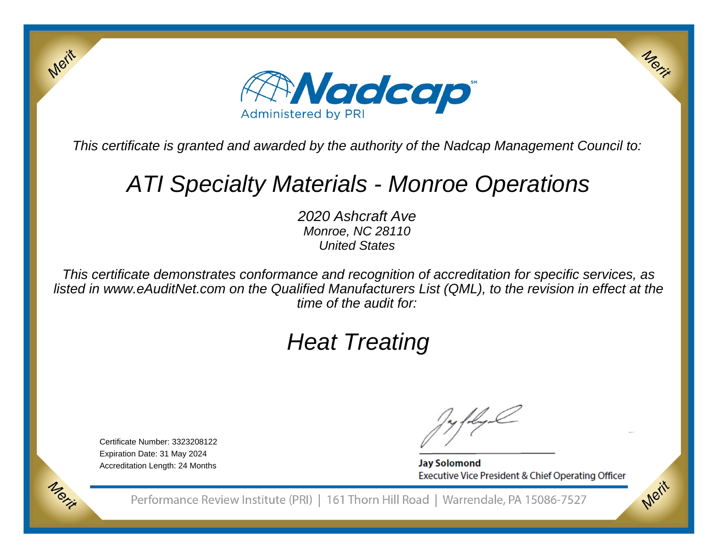

This certificate is granted and awarded by the authority of the Nadcap Management Council to:

## ATI Specialty Materials - Monroe Operations

2020 Ashcraft Ave Monroe, NC 28110United States

This certificate demonstrates conformance and recognition of accreditation for specific services, as listed in www.eAuditNet.com on the Qualified Manufacturers List (QML), to the revision in effect at thetime of the audit for:

# Heat Treating

Certificate Number: 3323208122Expiration Date: 31 May 2024Accreditation Length: 24 Months

Merit

Morie

**Jay Solomond** Executive Vice President & Chief Operating Officer Merix

Merit

Performance Review Institute (PRI) | 161 Thorn Hill Road | Warrendale, PA 15086-7527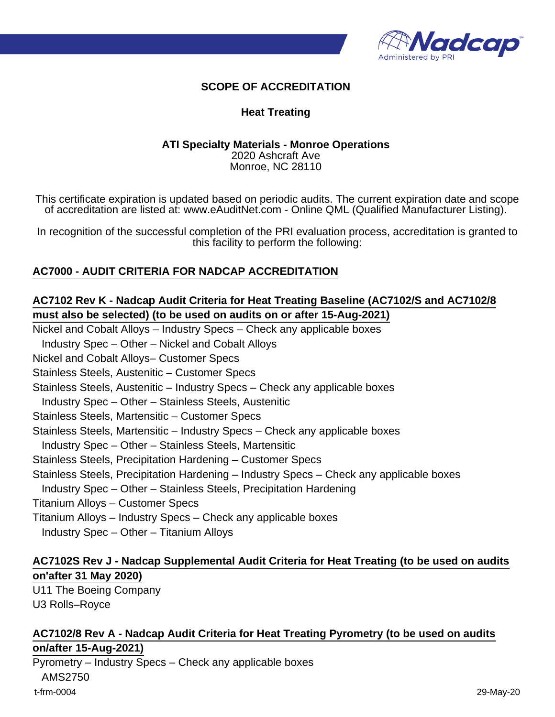

## **SCOPE OF ACCREDITATION**

### **Heat Treating**

#### **ATI Specialty Materials - Monroe Operations** 2020 Ashcraft Ave Monroe, NC 28110

This certificate expiration is updated based on periodic audits. The current expiration date and scope of accreditation are listed at: www.eAuditNet.com - Online QML (Qualified Manufacturer Listing).

In recognition of the successful completion of the PRI evaluation process, accreditation is granted to this facility to perform the following:

## **AC7000 - AUDIT CRITERIA FOR NADCAP ACCREDITATION**

## **AC7102 Rev K - Nadcap Audit Criteria for Heat Treating Baseline (AC7102/S and AC7102/8 must also be selected) (to be used on audits on or after 15-Aug-2021)**

Nickel and Cobalt Alloys – Industry Specs – Check any applicable boxes

Industry Spec – Other – Nickel and Cobalt Alloys

Nickel and Cobalt Alloys– Customer Specs

Stainless Steels, Austenitic – Customer Specs

Stainless Steels, Austenitic – Industry Specs – Check any applicable boxes

Industry Spec – Other – Stainless Steels, Austenitic

Stainless Steels, Martensitic – Customer Specs

Stainless Steels, Martensitic – Industry Specs – Check any applicable boxes

Industry Spec – Other – Stainless Steels, Martensitic

- Stainless Steels, Precipitation Hardening Customer Specs
- Stainless Steels, Precipitation Hardening Industry Specs Check any applicable boxes
- Industry Spec Other Stainless Steels, Precipitation Hardening
- Titanium Alloys Customer Specs
- Titanium Alloys Industry Specs Check any applicable boxes
- Industry Spec Other Titanium Alloys

## **AC7102S Rev J - Nadcap Supplemental Audit Criteria for Heat Treating (to be used on audits on'after 31 May 2020)**

U11 The Boeing Company U3 Rolls–Royce

## **AC7102/8 Rev A - Nadcap Audit Criteria for Heat Treating Pyrometry (to be used on audits on/after 15-Aug-2021)**

Pyrometry – Industry Specs – Check any applicable boxes AMS2750 t-frm-0004 29-May-20